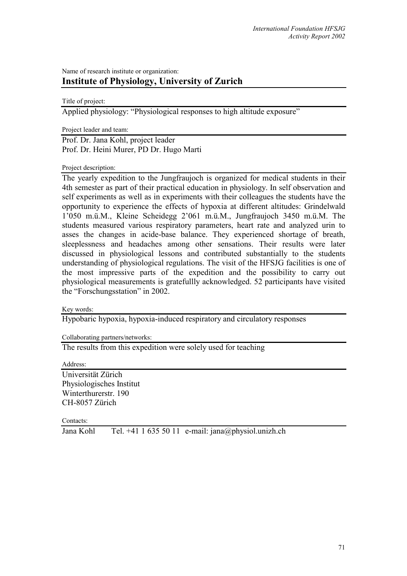## Name of research institute or organization: **Institute of Physiology, University of Zurich**

Title of project:

Applied physiology: "Physiological responses to high altitude exposure"

Project leader and team:

Prof. Dr. Jana Kohl, project leader Prof. Dr. Heini Murer, PD Dr. Hugo Marti

Project description:

The yearly expedition to the Jungfraujoch is organized for medical students in their 4th semester as part of their practical education in physiology. In self observation and self experiments as well as in experiments with their colleagues the students have the opportunity to experience the effects of hypoxia at different altitudes: Grindelwald 1'050 m.ü.M., Kleine Scheidegg 2'061 m.ü.M., Jungfraujoch 3450 m.ü.M. The students measured various respiratory parameters, heart rate and analyzed urin to asses the changes in acide-base balance. They experienced shortage of breath, sleeplessness and headaches among other sensations. Their results were later discussed in physiological lessons and contributed substantially to the students understanding of physiological regulations. The visit of the HFSJG facilities is one of the most impressive parts of the expedition and the possibility to carry out physiological measurements is gratefullly acknowledged. 52 participants have visited the "Forschungsstation" in 2002.

Key words:

Hypobaric hypoxia, hypoxia-induced respiratory and circulatory responses

Collaborating partners/networks:

The results from this expedition were solely used for teaching

Address:

Universität Zürich Physiologisches Institut Winterthurerstr. 190 CH-8057 Zürich

Contacts:

Jana Kohl Tel. +41 1 635 50 11 e-mail: jana@physiol.unizh.ch